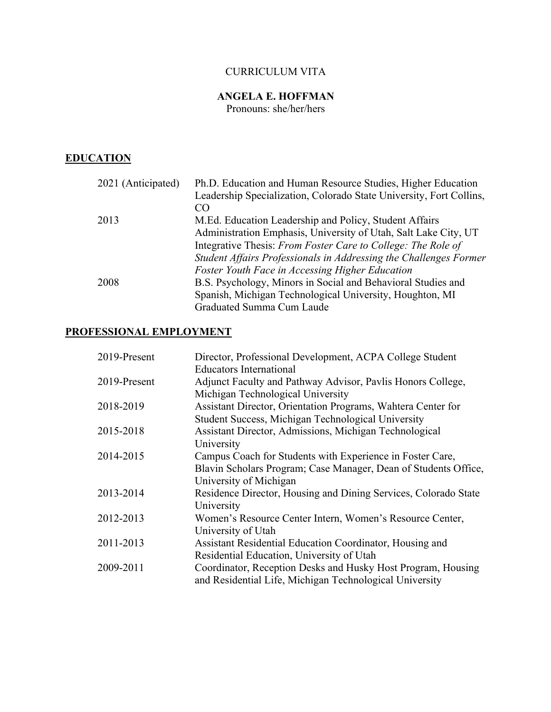# CURRICULUM VITA

# **ANGELA E. HOFFMAN**

Pronouns: she/her/hers

# **EDUCATION**

| 2021 (Anticipated) | Ph.D. Education and Human Resource Studies, Higher Education        |
|--------------------|---------------------------------------------------------------------|
|                    | Leadership Specialization, Colorado State University, Fort Collins, |
|                    | CO                                                                  |
| 2013               | M.Ed. Education Leadership and Policy, Student Affairs              |
|                    | Administration Emphasis, University of Utah, Salt Lake City, UT     |
|                    | Integrative Thesis: From Foster Care to College: The Role of        |
|                    | Student Affairs Professionals in Addressing the Challenges Former   |
|                    | Foster Youth Face in Accessing Higher Education                     |
| 2008               | B.S. Psychology, Minors in Social and Behavioral Studies and        |
|                    | Spanish, Michigan Technological University, Houghton, MI            |
|                    | Graduated Summa Cum Laude                                           |

# **PROFESSIONAL EMPLOYMENT**

| 2019-Present | Director, Professional Development, ACPA College Student        |
|--------------|-----------------------------------------------------------------|
|              | <b>Educators International</b>                                  |
| 2019-Present | Adjunct Faculty and Pathway Advisor, Pavlis Honors College,     |
|              | Michigan Technological University                               |
| 2018-2019    | Assistant Director, Orientation Programs, Wahtera Center for    |
|              | Student Success, Michigan Technological University              |
| 2015-2018    | Assistant Director, Admissions, Michigan Technological          |
|              | University                                                      |
| 2014-2015    | Campus Coach for Students with Experience in Foster Care,       |
|              | Blavin Scholars Program; Case Manager, Dean of Students Office, |
|              | University of Michigan                                          |
| 2013-2014    | Residence Director, Housing and Dining Services, Colorado State |
|              | University                                                      |
| 2012-2013    | Women's Resource Center Intern, Women's Resource Center,        |
|              | University of Utah                                              |
| 2011-2013    | Assistant Residential Education Coordinator, Housing and        |
|              | Residential Education, University of Utah                       |
| 2009-2011    | Coordinator, Reception Desks and Husky Host Program, Housing    |
|              | and Residential Life, Michigan Technological University         |
|              |                                                                 |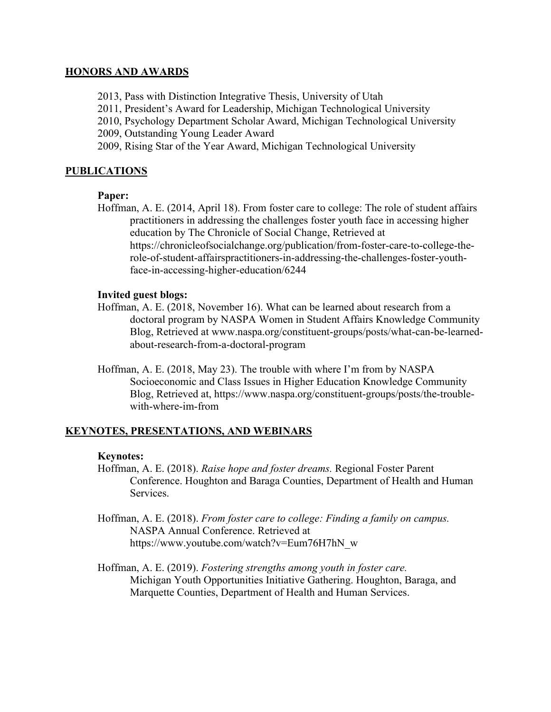#### **HONORS AND AWARDS**

- 2013, Pass with Distinction Integrative Thesis, University of Utah
- 2011, President's Award for Leadership, Michigan Technological University
- 2010, Psychology Department Scholar Award, Michigan Technological University

2009, Outstanding Young Leader Award

2009, Rising Star of the Year Award, Michigan Technological University

# **PUBLICATIONS**

# **Paper:**

Hoffman, A. E. (2014, April 18). From foster care to college: The role of student affairs practitioners in addressing the challenges foster youth face in accessing higher education by The Chronicle of Social Change, Retrieved at https://chronicleofsocialchange.org/publication/from-foster-care-to-college-therole-of-student-affairspractitioners-in-addressing-the-challenges-foster-youthface-in-accessing-higher-education/6244

# **Invited guest blogs:**

- Hoffman, A. E. (2018, November 16). What can be learned about research from a doctoral program by NASPA Women in Student Affairs Knowledge Community Blog, Retrieved at www.naspa.org/constituent-groups/posts/what-can-be-learnedabout-research-from-a-doctoral-program
- Hoffman, A. E. (2018, May 23). The trouble with where I'm from by NASPA Socioeconomic and Class Issues in Higher Education Knowledge Community Blog, Retrieved at, https://www.naspa.org/constituent-groups/posts/the-troublewith-where-im-from

# **KEYNOTES, PRESENTATIONS, AND WEBINARS**

# **Keynotes:**

- Hoffman, A. E. (2018). *Raise hope and foster dreams.* Regional Foster Parent Conference. Houghton and Baraga Counties, Department of Health and Human Services.
- Hoffman, A. E. (2018). *From foster care to college: Finding a family on campus.*  NASPA Annual Conference. Retrieved at https://www.youtube.com/watch?v=Eum76H7hN\_w
- Hoffman, A. E. (2019). *Fostering strengths among youth in foster care.*  Michigan Youth Opportunities Initiative Gathering. Houghton, Baraga, and Marquette Counties, Department of Health and Human Services.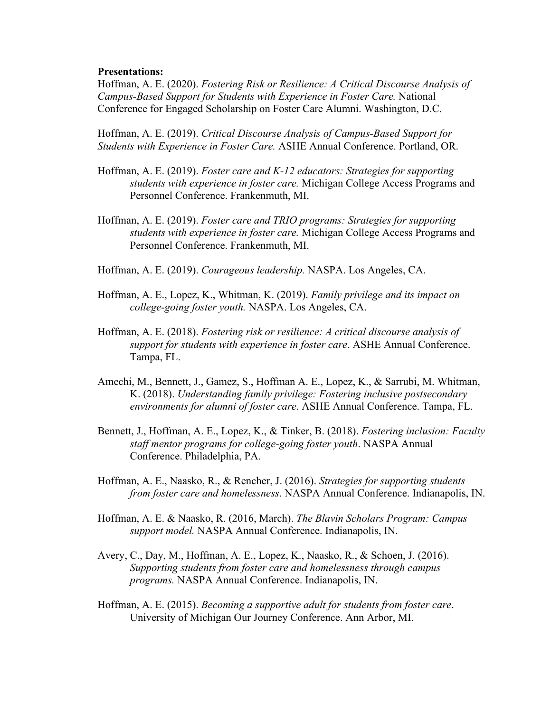#### **Presentations:**

Hoffman, A. E. (2020). *Fostering Risk or Resilience: A Critical Discourse Analysis of Campus-Based Support for Students with Experience in Foster Care.* National Conference for Engaged Scholarship on Foster Care Alumni. Washington, D.C.

Hoffman, A. E. (2019). *Critical Discourse Analysis of Campus-Based Support for Students with Experience in Foster Care.* ASHE Annual Conference. Portland, OR.

- Hoffman, A. E. (2019). *Foster care and K-12 educators: Strategies for supporting students with experience in foster care.* Michigan College Access Programs and Personnel Conference. Frankenmuth, MI.
- Hoffman, A. E. (2019). *Foster care and TRIO programs: Strategies for supporting students with experience in foster care.* Michigan College Access Programs and Personnel Conference. Frankenmuth, MI.
- Hoffman, A. E. (2019). *Courageous leadership.* NASPA. Los Angeles, CA.
- Hoffman, A. E., Lopez, K., Whitman, K. (2019). *Family privilege and its impact on college-going foster youth.* NASPA. Los Angeles, CA.
- Hoffman, A. E. (2018). *Fostering risk or resilience: A critical discourse analysis of support for students with experience in foster care*. ASHE Annual Conference. Tampa, FL.
- Amechi, M., Bennett, J., Gamez, S., Hoffman A. E., Lopez, K., & Sarrubi, M. Whitman, K. (2018). *Understanding family privilege: Fostering inclusive postsecondary environments for alumni of foster care*. ASHE Annual Conference. Tampa, FL.
- Bennett, J., Hoffman, A. E., Lopez, K., & Tinker, B. (2018). *Fostering inclusion: Faculty staff mentor programs for college-going foster youth*. NASPA Annual Conference. Philadelphia, PA.
- Hoffman, A. E., Naasko, R., & Rencher, J. (2016). *Strategies for supporting students from foster care and homelessness*. NASPA Annual Conference. Indianapolis, IN.
- Hoffman, A. E. & Naasko, R. (2016, March). *The Blavin Scholars Program: Campus support model.* NASPA Annual Conference. Indianapolis, IN.
- Avery, C., Day, M., Hoffman, A. E., Lopez, K., Naasko, R., & Schoen, J. (2016). *Supporting students from foster care and homelessness through campus programs.* NASPA Annual Conference. Indianapolis, IN.
- Hoffman, A. E. (2015). *Becoming a supportive adult for students from foster care*. University of Michigan Our Journey Conference. Ann Arbor, MI.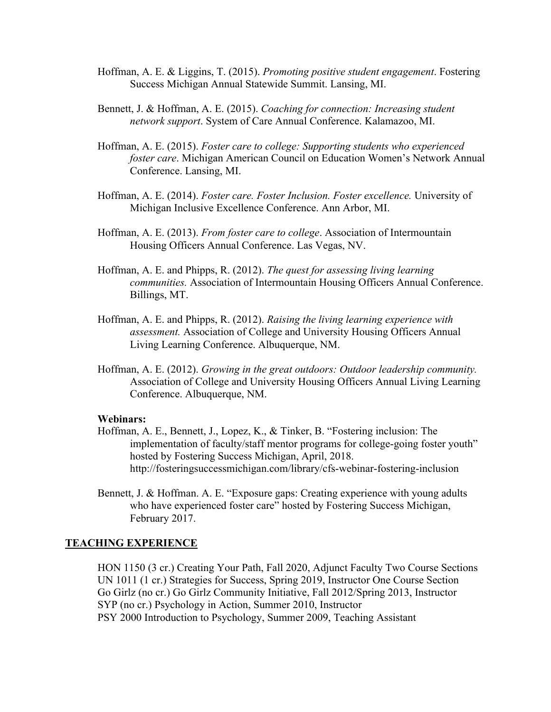- Hoffman, A. E. & Liggins, T. (2015). *Promoting positive student engagement*. Fostering Success Michigan Annual Statewide Summit. Lansing, MI.
- Bennett, J. & Hoffman, A. E. (2015). *Coaching for connection: Increasing student network support*. System of Care Annual Conference. Kalamazoo, MI.
- Hoffman, A. E. (2015). *Foster care to college: Supporting students who experienced foster care*. Michigan American Council on Education Women's Network Annual Conference. Lansing, MI.
- Hoffman, A. E. (2014). *Foster care. Foster Inclusion. Foster excellence.* University of Michigan Inclusive Excellence Conference. Ann Arbor, MI.
- Hoffman, A. E. (2013). *From foster care to college*. Association of Intermountain Housing Officers Annual Conference. Las Vegas, NV.
- Hoffman, A. E. and Phipps, R. (2012). *The quest for assessing living learning communities.* Association of Intermountain Housing Officers Annual Conference. Billings, MT.
- Hoffman, A. E. and Phipps, R. (2012). *Raising the living learning experience with assessment.* Association of College and University Housing Officers Annual Living Learning Conference. Albuquerque, NM.
- Hoffman, A. E. (2012). *Growing in the great outdoors: Outdoor leadership community.* Association of College and University Housing Officers Annual Living Learning Conference. Albuquerque, NM.

#### **Webinars:**

- Hoffman, A. E., Bennett, J., Lopez, K., & Tinker, B. "Fostering inclusion: The implementation of faculty/staff mentor programs for college-going foster youth" hosted by Fostering Success Michigan, April, 2018. http://fosteringsuccessmichigan.com/library/cfs-webinar-fostering-inclusion
- Bennett, J. & Hoffman. A. E. "Exposure gaps: Creating experience with young adults who have experienced foster care" hosted by Fostering Success Michigan, February 2017.

#### **TEACHING EXPERIENCE**

HON 1150 (3 cr.) Creating Your Path, Fall 2020, Adjunct Faculty Two Course Sections UN 1011 (1 cr.) Strategies for Success, Spring 2019, Instructor One Course Section Go Girlz (no cr.) Go Girlz Community Initiative, Fall 2012/Spring 2013, Instructor SYP (no cr.) Psychology in Action, Summer 2010, Instructor PSY 2000 Introduction to Psychology, Summer 2009, Teaching Assistant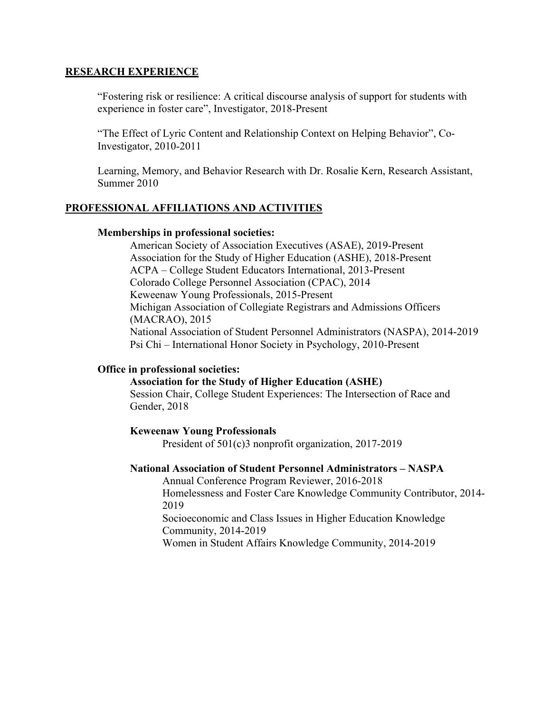#### **RESEARCH EXPERIENCE**

"Fostering risk or resilience: A critical discourse analysis of support for students with experience in foster care", Investigator, 2018-Present

"The Effect of Lyric Content and Relationship Context on Helping Behavior", Co-Investigator, 2010-2011

Learning, Memory, and Behavior Research with Dr. Rosalie Kern, Research Assistant, Summer 2010

#### **PROFESSIONAL AFFILIATIONS AND ACTIVITIES**

#### **Memberships in professional societies:**

American Society of Association Executives (ASAE), 2019-Present Association for the Study of Higher Education (ASHE), 2018-Present ACPA – College Student Educators International, 2013-Present Colorado College Personnel Association (CPAC), 2014 Keweenaw Young Professionals, 2015-Present Michigan Association of Collegiate Registrars and Admissions Officers (MACRAO), 2015 National Association of Student Personnel Administrators (NASPA), 2014-2019 Psi Chi – International Honor Society in Psychology, 2010-Present

#### **Office in professional societies:**

# **Association for the Study of Higher Education (ASHE)**

Session Chair, College Student Experiences: The Intersection of Race and Gender, 2018

#### **Keweenaw Young Professionals**

President of 501(c)3 nonprofit organization, 2017-2019

#### **National Association of Student Personnel Administrators – NASPA**

Annual Conference Program Reviewer, 2016-2018 Homelessness and Foster Care Knowledge Community Contributor, 2014- 2019

Socioeconomic and Class Issues in Higher Education Knowledge Community, 2014-2019

Women in Student Affairs Knowledge Community, 2014-2019